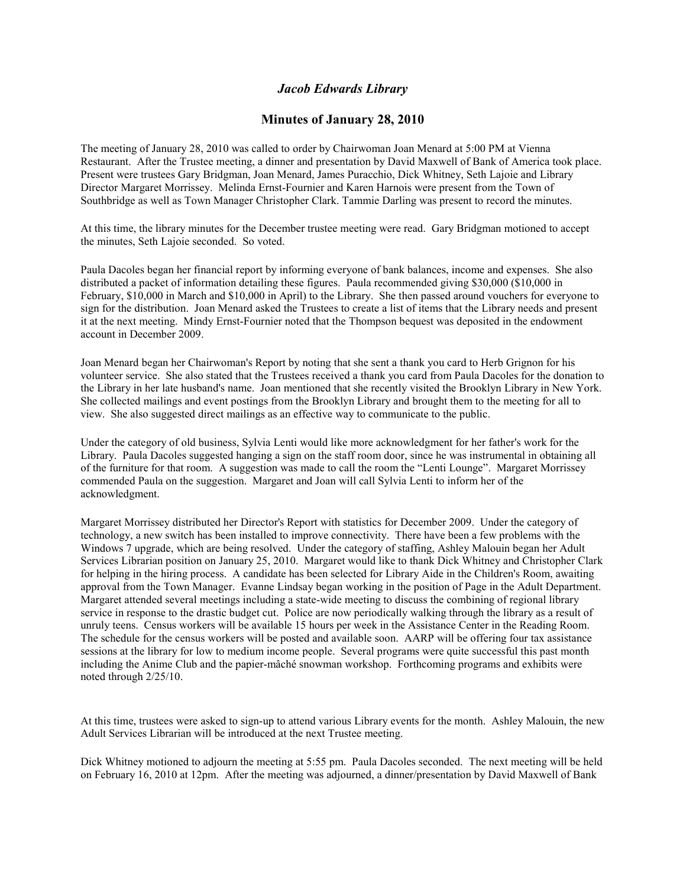## *Jacob Edwards Library*

## **Minutes of January 28, 2010**

The meeting of January 28, 2010 was called to order by Chairwoman Joan Menard at 5:00 PM at Vienna Restaurant. After the Trustee meeting, a dinner and presentation by David Maxwell of Bank of America took place. Present were trustees Gary Bridgman, Joan Menard, James Puracchio, Dick Whitney, Seth Lajoie and Library Director Margaret Morrissey. Melinda Ernst-Fournier and Karen Harnois were present from the Town of Southbridge as well as Town Manager Christopher Clark. Tammie Darling was present to record the minutes.

At this time, the library minutes for the December trustee meeting were read. Gary Bridgman motioned to accept the minutes, Seth Lajoie seconded. So voted.

Paula Dacoles began her financial report by informing everyone of bank balances, income and expenses. She also distributed a packet of information detailing these figures. Paula recommended giving \$30,000 (\$10,000 in February, \$10,000 in March and \$10,000 in April) to the Library. She then passed around vouchers for everyone to sign for the distribution. Joan Menard asked the Trustees to create a list of items that the Library needs and present it at the next meeting. Mindy Ernst-Fournier noted that the Thompson bequest was deposited in the endowment account in December 2009.

Joan Menard began her Chairwoman's Report by noting that she sent a thank you card to Herb Grignon for his volunteer service. She also stated that the Trustees received a thank you card from Paula Dacoles for the donation to the Library in her late husband's name. Joan mentioned that she recently visited the Brooklyn Library in New York. She collected mailings and event postings from the Brooklyn Library and brought them to the meeting for all to view. She also suggested direct mailings as an effective way to communicate to the public.

Under the category of old business, Sylvia Lenti would like more acknowledgment for her father's work for the Library. Paula Dacoles suggested hanging a sign on the staff room door, since he was instrumental in obtaining all of the furniture for that room. A suggestion was made to call the room the "Lenti Lounge". Margaret Morrissey commended Paula on the suggestion. Margaret and Joan will call Sylvia Lenti to inform her of the acknowledgment.

Margaret Morrissey distributed her Director's Report with statistics for December 2009. Under the category of technology, a new switch has been installed to improve connectivity. There have been a few problems with the Windows 7 upgrade, which are being resolved. Under the category of staffing, Ashley Malouin began her Adult Services Librarian position on January 25, 2010. Margaret would like to thank Dick Whitney and Christopher Clark for helping in the hiring process. A candidate has been selected for Library Aide in the Children's Room, awaiting approval from the Town Manager. Evanne Lindsay began working in the position of Page in the Adult Department. Margaret attended several meetings including a state-wide meeting to discuss the combining of regional library service in response to the drastic budget cut. Police are now periodically walking through the library as a result of unruly teens. Census workers will be available 15 hours per week in the Assistance Center in the Reading Room. The schedule for the census workers will be posted and available soon. AARP will be offering four tax assistance sessions at the library for low to medium income people. Several programs were quite successful this past month including the Anime Club and the papier-mâché snowman workshop. Forthcoming programs and exhibits were noted through 2/25/10.

At this time, trustees were asked to sign-up to attend various Library events for the month. Ashley Malouin, the new Adult Services Librarian will be introduced at the next Trustee meeting.

Dick Whitney motioned to adjourn the meeting at 5:55 pm. Paula Dacoles seconded. The next meeting will be held on February 16, 2010 at 12pm. After the meeting was adjourned, a dinner/presentation by David Maxwell of Bank